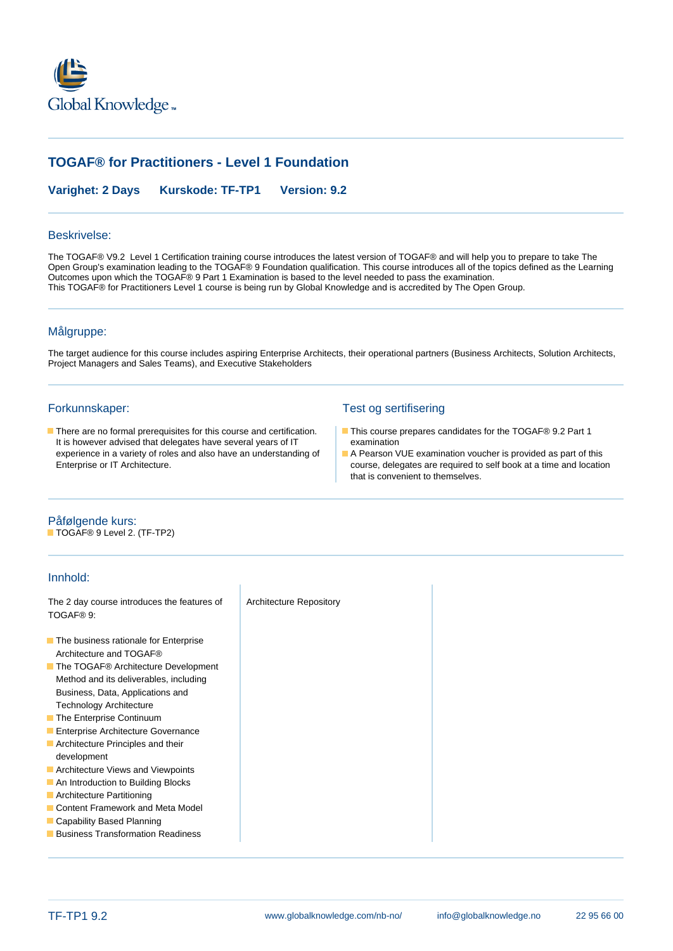

# **TOGAF® for Practitioners - Level 1 Foundation**

**Varighet: 2 Days Kurskode: TF-TP1 Version: 9.2**

## Beskrivelse:

The TOGAF® V9.2 Level 1 Certification training course introduces the latest version of TOGAF® and will help you to prepare to take The Open Group's examination leading to the TOGAF® 9 Foundation qualification. This course introduces all of the topics defined as the Learning Outcomes upon which the TOGAF® 9 Part 1 Examination is based to the level needed to pass the examination. This TOGAF® for Practitioners Level 1 course is being run by Global Knowledge and is accredited by The Open Group.

### Målgruppe:

The target audience for this course includes aspiring Enterprise Architects, their operational partners (Business Architects, Solution Architects, Project Managers and Sales Teams), and Executive Stakeholders

■ There are no formal prerequisites for this course and certification. ■ This course prepares candidates for the TOGAF® 9.2 Part 1<br>It is however advised that delegates have several vears of IT examination It is however advised that delegates have several years of IT experience in a variety of roles and also have an understanding of A Pearson VUE examination voucher is provided as part of this

### Forkunnskaper: Test og sertifisering

- 
- Enterprise or IT Architecture. course, delegates are required to self book at a time and location that is convenient to themselves.

### Påfølgende kurs:

■ TOGAF<sup>®</sup> 9 Level 2. (TF-TP2)

## Innhold:

The 2 day course introduces the features of Architecture Repository TOGAF® 9: **The business rationale for Enterprise** Architecture and TOGAF® ■ The TOGAF<sup>®</sup> Architecture Development Method and its deliverables, including Business, Data, Applications and Technology Architecture **The Enterprise Continuum Enterprise Architecture Governance Architecture Principles and their** development **Architecture Views and Viewpoints An Introduction to Building Blocks Architecture Partitioning Content Framework and Meta Model** Capability Based Planning **Business Transformation Readiness**